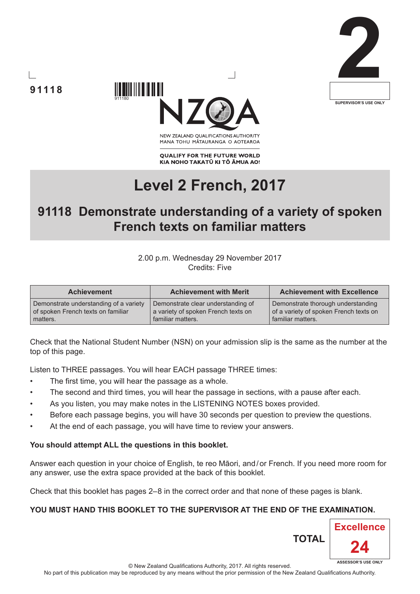





NEW ZEALAND OUALIFICATIONS AUTHORITY MANA TOHU MATAURANGA O AOTEAROA

**QUALIFY FOR THE FUTURE WORLD** KIA NOHO TAKATŪ KI TŌ ĀMUA AO!

# **Level 2 French, 2017**

## **91118 Demonstrate understanding of a variety of spoken French texts on familiar matters**

#### 2.00 p.m. Wednesday 29 November 2017 Credits: Five

| <b>Achievement</b>                     | <b>Achievement with Merit</b>       | <b>Achievement with Excellence</b>     |
|----------------------------------------|-------------------------------------|----------------------------------------|
| Demonstrate understanding of a variety | Demonstrate clear understanding of  | Demonstrate thorough understanding     |
| of spoken French texts on familiar     | a variety of spoken French texts on | of a variety of spoken French texts on |
| matters.                               | familiar matters.                   | familiar matters.                      |

Check that the National Student Number (NSN) on your admission slip is the same as the number at the top of this page.

Listen to THREE passages. You will hear EACH passage THREE times:

- The first time, you will hear the passage as a whole.
- The second and third times, you will hear the passage in sections, with a pause after each.
- As you listen, you may make notes in the LISTENING NOTES boxes provided.
- Before each passage begins, you will have 30 seconds per question to preview the questions.
- At the end of each passage, you will have time to review your answers.

#### **You should attempt ALL the questions in this booklet.**

Answer each question in your choice of English, te reo Māori, and/or French. If you need more room for any answer, use the extra space provided at the back of this booklet.

Check that this booklet has pages 2–8 in the correct order and that none of these pages is blank.

#### **YOU MUST HAND THIS BOOKLET TO THE SUPERVISOR AT THE END OF THE EXAMINATION.**

**TOTAL**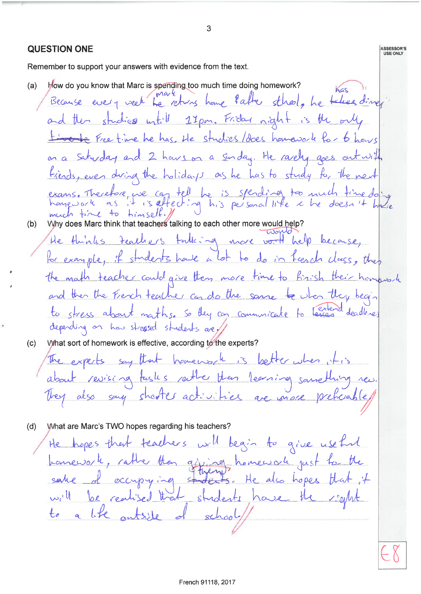3 **QUESTION ONE** ASSESSOR'S USE ONLY Remember to support your answers with evidence from the text. How do you know that Marc is spending too much time doing homework?  $(a)$ Kos Because every week he returns home Patter stheol, he takes dinner and then studies witill 17pm. Friday night is the only Livete Freetime he has the studies/does hamavork for 6 hours on a saturday and 2 hours on a sunday. He racely goes out with fiends, even during the holidays as he has to study for the next exans. Therefore, we can tell be is spending too much time doing much time to timself. Why does Marc think that teachers talking to each other more would help?<br>He thinks teachers talking on more world help because,  $(b)$ for example, it students have a lot to do in french class, then the math teacher could give they more time to finish their homework and then the French teacher can do the same to show they begin to stress about maths. So they can communicate to lesses deadlines depending on how streased students are What sort of homework is effective, according to the experts?  $(c)$ The expects say that havenore is better when it is about revising tasks rather than learning something They also say shorter activities are more preficia  $(d)$ What are Marc's TWO hopes regarding his teachers? He hopes that teachers will begin to give useful homework, rather than gifting, homework just to the sake of occupying studes He also hopes that it  $+$ s. will be realised that students have the a like outside of  $t_{\sigma}$  $schod$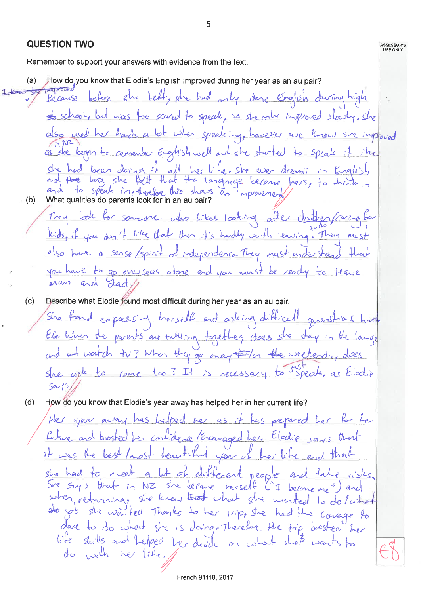**QUESTION TWO** USE ONLY Remember to support your answers with evidence from the text. How do you know that Elodie's English improved during her year as an au pair?  $(a)$ Because before she left, she had only done English during high ste school, but was for scared to speak, so she only improved slowly. She also used her hards a lot when speaking, havever we know she imployed as she began to remember English well and she started to speal it like she had been doing it all her life. She even dreamt in English<br>and the targ she full that the language become hers, to think in<br>and to speak in the fact this shows an improvement  $(b)$ They look for someone who likes looking after chitten paring for kids, if you don't like that then it's hardly worth leaving. They must also have a sense/spirit of independence. They must understand that you have to go overseas alone and you must be ready to tease Describe what Elodie found most difficult during her year as an au pair.  $(c)$ She fond expressing herself and asking difficult questions had. Ele When the parents are taking together; does she stay in the lange and it watch tv? When they go away taken the weekends She ask to come too? It is necessary to speak,  $545$  $(d)$ How do you know that Elodie's year away has helped her in her current life? Her great may has helped her as it has prepared her for her future and boosted her contidence / Encanaged here Elodie says that it was the best most beautiful year of her like and that she had to meet a lot of different people and take risks. She suys that in NZ she became herself "I become me") and when returning, she knew that what she wanted to do lwhat do yes she wanted. Thanks to her trip, she had the courage to dare to do what she is doing. Therefore the trip boosted her life shills and belped har deadle on what shet wants to  $d_{\infty}$  with her lite.

5

French 91118, 2017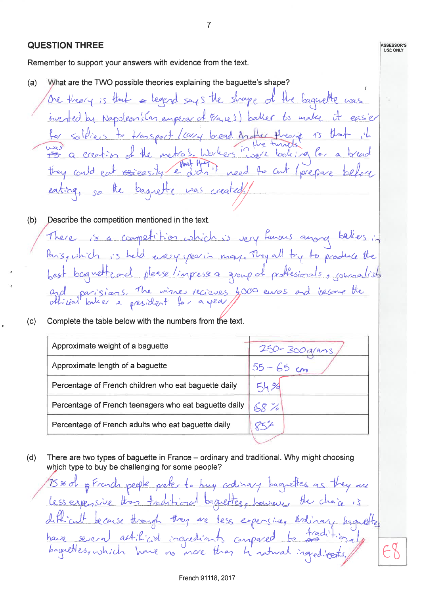#### **QUESTION THREE**

Remember to support your answers with evidence from the text.

What are the TWO possible theories explaining the baguette's shape?  $(a)$ 

One theory is that a leaped says the shape of the baquette was inested by Napoleon's Can emperar of P/a,ce's) balles to make it for soldiers to transport leavy bread Another theorie is the<br>was a creation of the metro's histles innere looking for a 15 that they could eat exercisely ethat there weed to cut (prepare be eating, so the baguette was created!

 $\overline{7}$ 

ASSESSOR'S<br>USE ONLY

- $(b)$ Describe the competition mentioned in the text. There is a competition which is very famous among balles in Paris, which is held every year in may. They all try to produce the bagnetfead please/impessed group of proffesionals, commandist  $h$ est and parisions. The wine recieves 4,000 euros and become the
- Complete the table below with the numbers from the text.  $(c)$

| Approximate weight of a baguette                      | 250-300 g/ans |  |  |
|-------------------------------------------------------|---------------|--|--|
| Approximate length of a baguette                      | $55 - 65$ cm  |  |  |
| Percentage of French children who eat baguette daily  | 54%           |  |  |
| Percentage of French teenagers who eat baguette daily | 68%           |  |  |
| Percentage of French adults who eat baguette daily    |               |  |  |
|                                                       |               |  |  |

There are two types of baguette in France – ordinary and traditional. Why might choosing  $(d)$ which type to buy be challenging for some people?

75 % of p French people prefer to buy adinary baguetter as they are Less expensive than traditional baguettes, however the chaine is difficult because though they are less expensive, ordinary beautiful have several actificial ingrediants compared to tradition